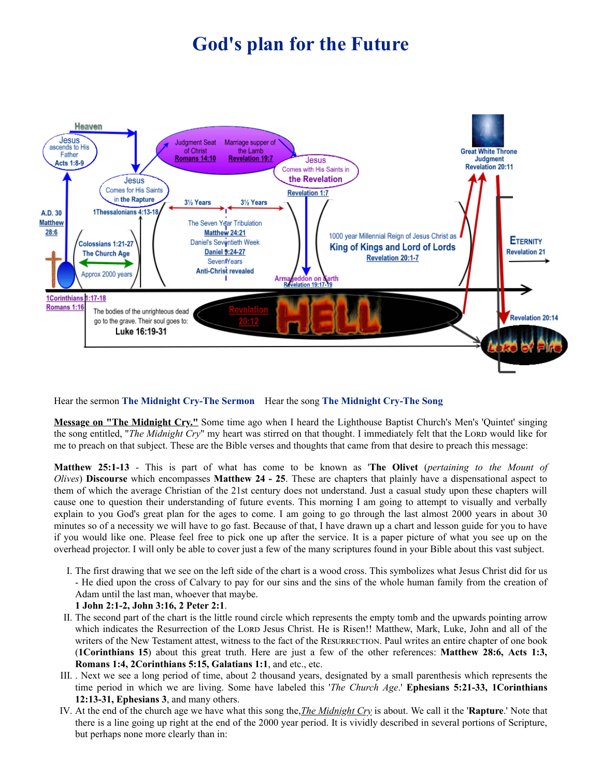## **God's plan for the Future**



Hear the sermon **The [Midnight](http://opbm.org/media/Midnight.Cry.the.sermon.mp3) Cry-The Sermon** Hear the song **The [Midnight](http://opbm.org/media/Midnight.Cry.the.song.mp3) Cry-The Song**

**Message on "The Midnight Cry."** Some time ago when I heard the Lighthouse Baptist Church's Men's 'Quintet' singing the song entitled, "*The Midnight Cry*" my heart was stirred on that thought. I immediately felt that the LORD would like for me to preach on that subject. These are the Bible verses and thoughts that came from that desire to preach this message:

**Matthew 25:1-13** - This is part of what has come to be known as '**The Olivet** (*pertaining to the Mount of Olives*) **Discourse** which encompasses **Matthew 24 - 25**. These are chapters that plainly have a dispensational aspect to them of which the average Christian of the 21st century does not understand. Just a casual study upon these chapters will cause one to question their understanding of future events. This morning I am going to attempt to visually and verbally explain to you God's great plan for the ages to come. I am going to go through the last almost 2000 years in about 30 minutes so of a necessity we will have to go fast. Because of that, I have drawn up a chart and lesson guide for you to have if you would like one. Please feel free to pick one up after the service. It is a paper picture of what you see up on the overhead projector. I will only be able to cover just a few of the many scriptures found in your Bible about this vast subject.

- I. The first drawing that we see on the left side of the chart is a wood cross. This symbolizes what Jesus Christ did for us - He died upon the cross of Calvary to pay for our sins and the sins of the whole human family from the creation of Adam until the last man, whoever that maybe.
- **1 John 2:1-2, John 3:16, 2 Peter 2:1**.
- II. The second part of the chart is the little round circle which represents the empty tomb and the upwards pointing arrow which indicates the Resurrection of the LORD Jesus Christ. He is Risen!! Matthew, Mark, Luke, John and all of the writers of the New Testament attest, witness to the fact of the RESURRECTION. Paul writes an entire chapter of one book (**1Corinthians 15**) about this great truth. Here are just a few of the other references: **Matthew 28:6, Acts 1:3, Romans 1:4, 2Corinthians 5:15, Galatians 1:1**, and etc., etc.
- III. . Next we see a long period of time, about 2 thousand years, designated by a small parenthesis which represents the time period in which we are living. Some have labeled this '*The Church Age*.' **Ephesians 5:21-33, 1Corinthians 12:13-31, Ephesians 3**, and many others.
- IV. At the end of the church age we have what this song the,*The Midnight Cry* is about. We call it the '**Rapture**.' Note that there is a line going up right at the end of the 2000 year period. It is vividly described in several portions of Scripture, but perhaps none more clearly than in: